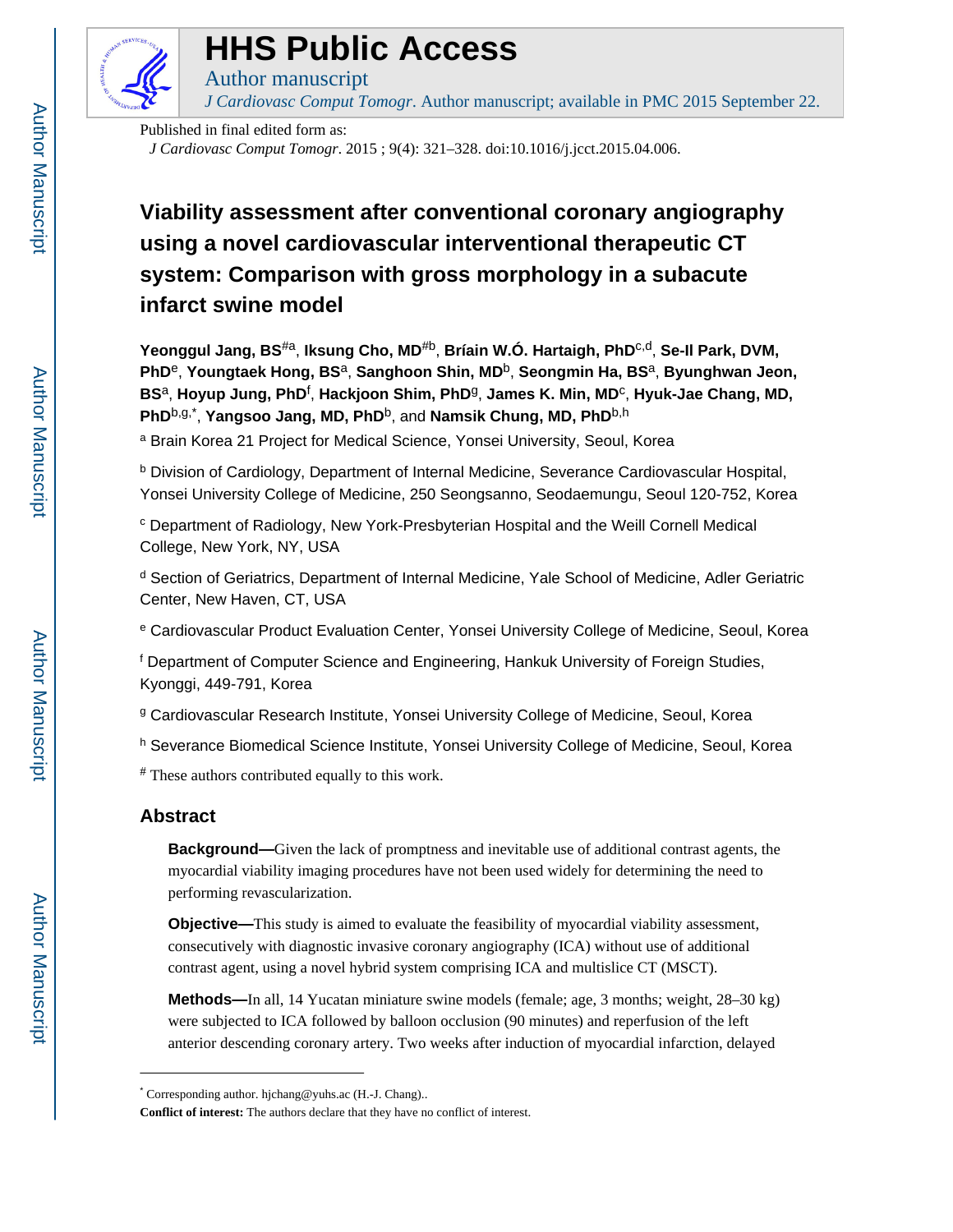

# **HHS Public Access**

*J Cardiovasc Comput Tomogr*. Author manuscript; available in PMC 2015 September 22.

Published in final edited form as:

Author manuscript

*J Cardiovasc Comput Tomogr*. 2015 ; 9(4): 321–328. doi:10.1016/j.jcct.2015.04.006.

# **Viability assessment after conventional coronary angiography using a novel cardiovascular interventional therapeutic CT system: Comparison with gross morphology in a subacute infarct swine model**

**Yeonggul Jang, BS**#a, **Iksung Cho, MD**#b, **Bríain W.Ó. Hartaigh, PhD**c,d, **Se-Il Park, DVM, PhD**e, **Youngtaek Hong, BS**a, **Sanghoon Shin, MD**b, **Seongmin Ha, BS**a, **Byunghwan Jeon, BS**a, **Hoyup Jung, PhD**<sup>f</sup> , **Hackjoon Shim, PhD**g, **James K. Min, MD**<sup>c</sup> , **Hyuk-Jae Chang, MD, PhD**b,g,\* , **Yangsoo Jang, MD, PhD**b, and **Namsik Chung, MD, PhD**b,h

<sup>a</sup> Brain Korea 21 Project for Medical Science, Yonsei University, Seoul, Korea

<sup>b</sup> Division of Cardiology, Department of Internal Medicine, Severance Cardiovascular Hospital, Yonsei University College of Medicine, 250 Seongsanno, Seodaemungu, Seoul 120-752, Korea

<sup>c</sup> Department of Radiology, New York-Presbyterian Hospital and the Weill Cornell Medical College, New York, NY, USA

<sup>d</sup> Section of Geriatrics, Department of Internal Medicine, Yale School of Medicine, Adler Geriatric Center, New Haven, CT, USA

e Cardiovascular Product Evaluation Center, Yonsei University College of Medicine, Seoul, Korea

f Department of Computer Science and Engineering, Hankuk University of Foreign Studies, Kyonggi, 449-791, Korea

<sup>g</sup> Cardiovascular Research Institute, Yonsei University College of Medicine, Seoul, Korea

<sup>h</sup> Severance Biomedical Science Institute, Yonsei University College of Medicine, Seoul, Korea

# These authors contributed equally to this work.

# **Abstract**

**Background—**Given the lack of promptness and inevitable use of additional contrast agents, the myocardial viability imaging procedures have not been used widely for determining the need to performing revascularization.

**Objective—**This study is aimed to evaluate the feasibility of myocardial viability assessment, consecutively with diagnostic invasive coronary angiography (ICA) without use of additional contrast agent, using a novel hybrid system comprising ICA and multislice CT (MSCT).

**Methods—**In all, 14 Yucatan miniature swine models (female; age, 3 months; weight, 28–30 kg) were subjected to ICA followed by balloon occlusion (90 minutes) and reperfusion of the left anterior descending coronary artery. Two weeks after induction of myocardial infarction, delayed

<sup>\*</sup> Corresponding author. hjchang@yuhs.ac (H.-J. Chang)..

**Conflict of interest:** The authors declare that they have no conflict of interest.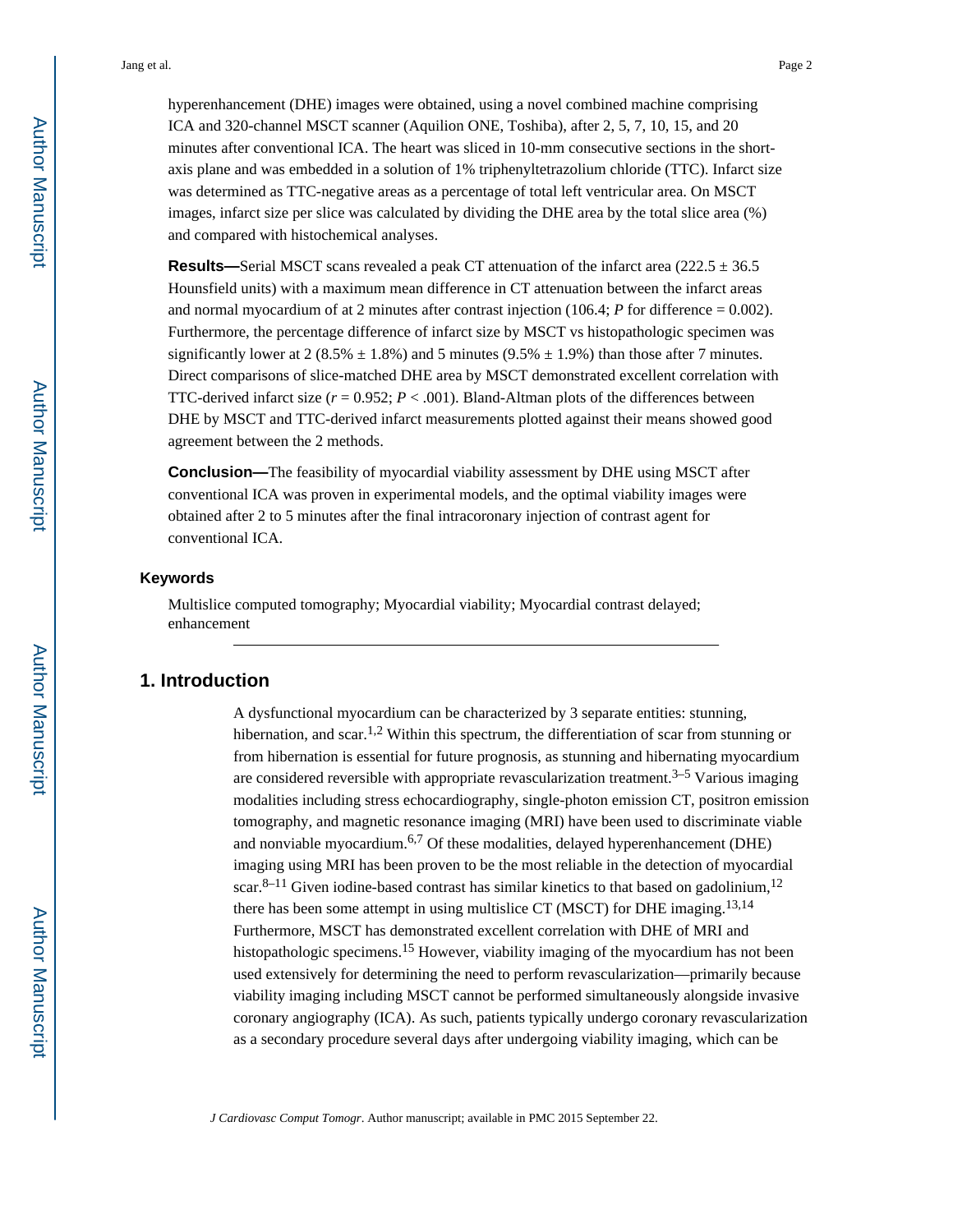hyperenhancement (DHE) images were obtained, using a novel combined machine comprising ICA and 320-channel MSCT scanner (Aquilion ONE, Toshiba), after 2, 5, 7, 10, 15, and 20 minutes after conventional ICA. The heart was sliced in 10-mm consecutive sections in the shortaxis plane and was embedded in a solution of 1% triphenyltetrazolium chloride (TTC). Infarct size was determined as TTC-negative areas as a percentage of total left ventricular area. On MSCT images, infarct size per slice was calculated by dividing the DHE area by the total slice area (%) and compared with histochemical analyses.

**Results—Serial MSCT** scans revealed a peak CT attenuation of the infarct area (222.5  $\pm$  36.5) Hounsfield units) with a maximum mean difference in CT attenuation between the infarct areas and normal myocardium of at 2 minutes after contrast injection  $(106.4; P$  for difference = 0.002). Furthermore, the percentage difference of infarct size by MSCT vs histopathologic specimen was significantly lower at 2 (8.5%  $\pm$  1.8%) and 5 minutes (9.5%  $\pm$  1.9%) than those after 7 minutes. Direct comparisons of slice-matched DHE area by MSCT demonstrated excellent correlation with TTC-derived infarct size  $(r = 0.952; P < .001)$ . Bland-Altman plots of the differences between DHE by MSCT and TTC-derived infarct measurements plotted against their means showed good agreement between the 2 methods.

**Conclusion—**The feasibility of myocardial viability assessment by DHE using MSCT after conventional ICA was proven in experimental models, and the optimal viability images were obtained after 2 to 5 minutes after the final intracoronary injection of contrast agent for conventional ICA.

#### **Keywords**

Multislice computed tomography; Myocardial viability; Myocardial contrast delayed; enhancement

#### **1. Introduction**

A dysfunctional myocardium can be characterized by 3 separate entities: stunning, hibernation, and scar.<sup>1,2</sup> Within this spectrum, the differentiation of scar from stunning or from hibernation is essential for future prognosis, as stunning and hibernating myocardium are considered reversible with appropriate revascularization treatment.<sup>3–5</sup> Various imaging modalities including stress echocardiography, single-photon emission CT, positron emission tomography, and magnetic resonance imaging (MRI) have been used to discriminate viable and nonviable myocardium.<sup>6,7</sup> Of these modalities, delayed hyperenhancement (DHE) imaging using MRI has been proven to be the most reliable in the detection of myocardial scar.<sup>8–11</sup> Given iodine-based contrast has similar kinetics to that based on gadolinium,<sup>12</sup> there has been some attempt in using multislice CT (MSCT) for DHE imaging.<sup>13,14</sup> Furthermore, MSCT has demonstrated excellent correlation with DHE of MRI and histopathologic specimens.<sup>15</sup> However, viability imaging of the myocardium has not been used extensively for determining the need to perform revascularization—primarily because viability imaging including MSCT cannot be performed simultaneously alongside invasive coronary angiography (ICA). As such, patients typically undergo coronary revascularization as a secondary procedure several days after undergoing viability imaging, which can be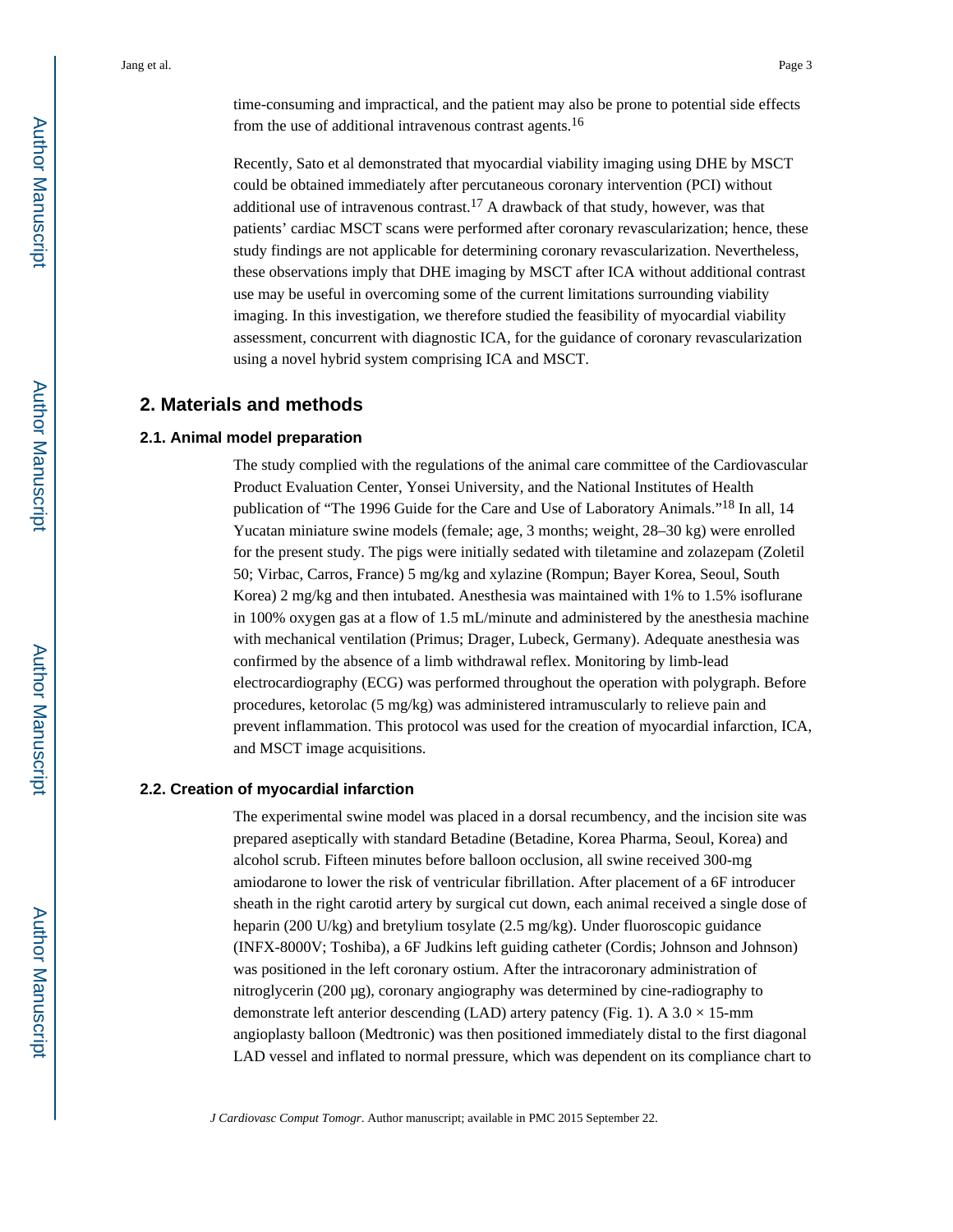time-consuming and impractical, and the patient may also be prone to potential side effects from the use of additional intravenous contrast agents.<sup>16</sup>

Recently, Sato et al demonstrated that myocardial viability imaging using DHE by MSCT could be obtained immediately after percutaneous coronary intervention (PCI) without additional use of intravenous contrast.<sup>17</sup> A drawback of that study, however, was that patients' cardiac MSCT scans were performed after coronary revascularization; hence, these study findings are not applicable for determining coronary revascularization. Nevertheless, these observations imply that DHE imaging by MSCT after ICA without additional contrast use may be useful in overcoming some of the current limitations surrounding viability imaging. In this investigation, we therefore studied the feasibility of myocardial viability assessment, concurrent with diagnostic ICA, for the guidance of coronary revascularization using a novel hybrid system comprising ICA and MSCT.

# **2. Materials and methods**

#### **2.1. Animal model preparation**

The study complied with the regulations of the animal care committee of the Cardiovascular Product Evaluation Center, Yonsei University, and the National Institutes of Health publication of "The 1996 Guide for the Care and Use of Laboratory Animals."18 In all, 14 Yucatan miniature swine models (female; age, 3 months; weight, 28–30 kg) were enrolled for the present study. The pigs were initially sedated with tiletamine and zolazepam (Zoletil 50; Virbac, Carros, France) 5 mg/kg and xylazine (Rompun; Bayer Korea, Seoul, South Korea) 2 mg/kg and then intubated. Anesthesia was maintained with 1% to 1.5% isoflurane in 100% oxygen gas at a flow of 1.5 mL/minute and administered by the anesthesia machine with mechanical ventilation (Primus; Drager, Lubeck, Germany). Adequate anesthesia was confirmed by the absence of a limb withdrawal reflex. Monitoring by limb-lead electrocardiography (ECG) was performed throughout the operation with polygraph. Before procedures, ketorolac (5 mg/kg) was administered intramuscularly to relieve pain and prevent inflammation. This protocol was used for the creation of myocardial infarction, ICA, and MSCT image acquisitions.

#### **2.2. Creation of myocardial infarction**

The experimental swine model was placed in a dorsal recumbency, and the incision site was prepared aseptically with standard Betadine (Betadine, Korea Pharma, Seoul, Korea) and alcohol scrub. Fifteen minutes before balloon occlusion, all swine received 300-mg amiodarone to lower the risk of ventricular fibrillation. After placement of a 6F introducer sheath in the right carotid artery by surgical cut down, each animal received a single dose of heparin (200 U/kg) and bretylium tosylate (2.5 mg/kg). Under fluoroscopic guidance (INFX-8000V; Toshiba), a 6F Judkins left guiding catheter (Cordis; Johnson and Johnson) was positioned in the left coronary ostium. After the intracoronary administration of nitroglycerin (200 μg), coronary angiography was determined by cine-radiography to demonstrate left anterior descending (LAD) artery patency (Fig. 1). A  $3.0 \times 15$ -mm angioplasty balloon (Medtronic) was then positioned immediately distal to the first diagonal LAD vessel and inflated to normal pressure, which was dependent on its compliance chart to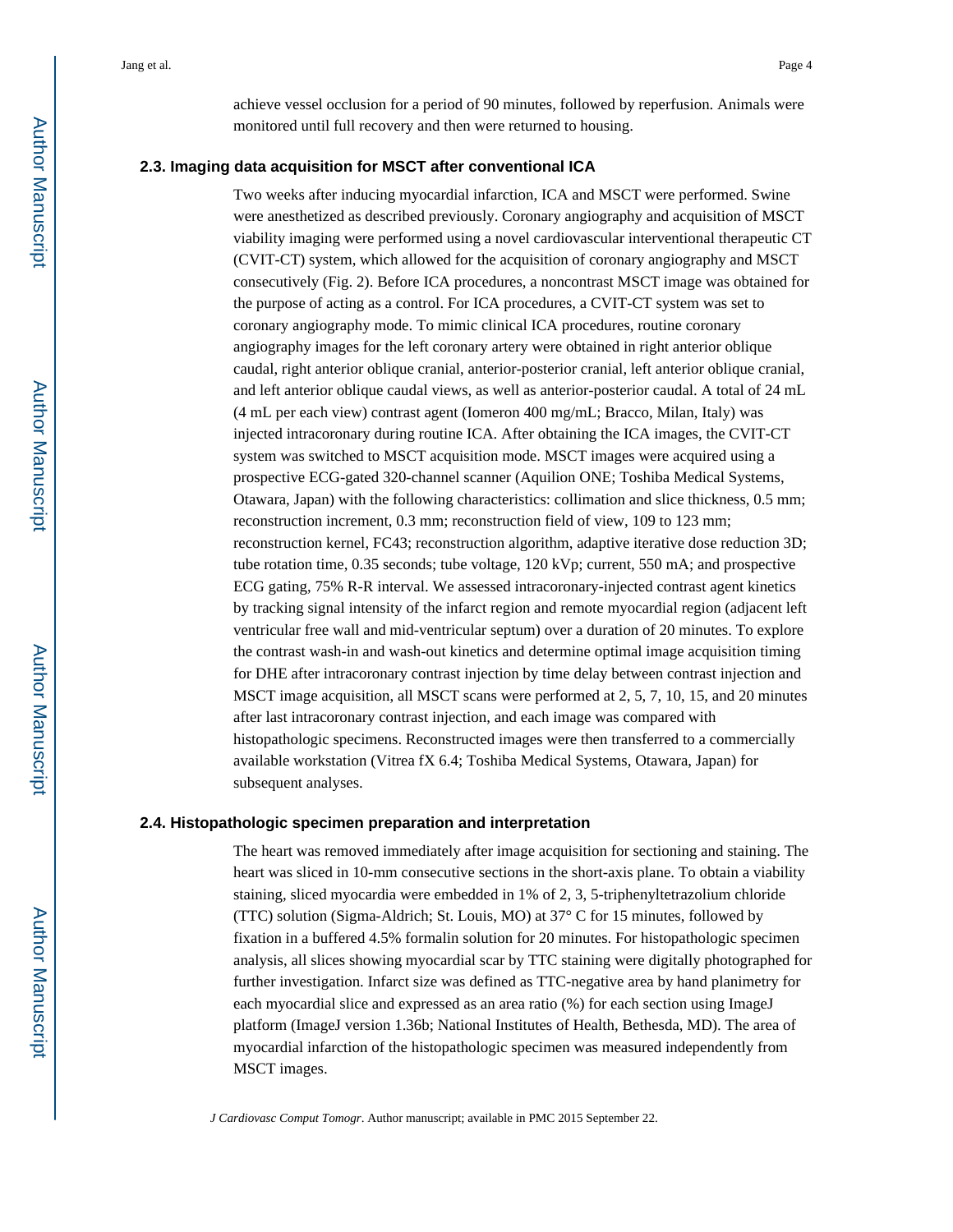achieve vessel occlusion for a period of 90 minutes, followed by reperfusion. Animals were monitored until full recovery and then were returned to housing.

#### **2.3. Imaging data acquisition for MSCT after conventional ICA**

Two weeks after inducing myocardial infarction, ICA and MSCT were performed. Swine were anesthetized as described previously. Coronary angiography and acquisition of MSCT viability imaging were performed using a novel cardiovascular interventional therapeutic CT (CVIT-CT) system, which allowed for the acquisition of coronary angiography and MSCT consecutively (Fig. 2). Before ICA procedures, a noncontrast MSCT image was obtained for the purpose of acting as a control. For ICA procedures, a CVIT-CT system was set to coronary angiography mode. To mimic clinical ICA procedures, routine coronary angiography images for the left coronary artery were obtained in right anterior oblique caudal, right anterior oblique cranial, anterior-posterior cranial, left anterior oblique cranial, and left anterior oblique caudal views, as well as anterior-posterior caudal. A total of 24 mL (4 mL per each view) contrast agent (Iomeron 400 mg/mL; Bracco, Milan, Italy) was injected intracoronary during routine ICA. After obtaining the ICA images, the CVIT-CT system was switched to MSCT acquisition mode. MSCT images were acquired using a prospective ECG-gated 320-channel scanner (Aquilion ONE; Toshiba Medical Systems, Otawara, Japan) with the following characteristics: collimation and slice thickness, 0.5 mm; reconstruction increment, 0.3 mm; reconstruction field of view, 109 to 123 mm; reconstruction kernel, FC43; reconstruction algorithm, adaptive iterative dose reduction 3D; tube rotation time, 0.35 seconds; tube voltage, 120 kVp; current, 550 mA; and prospective ECG gating, 75% R-R interval. We assessed intracoronary-injected contrast agent kinetics by tracking signal intensity of the infarct region and remote myocardial region (adjacent left ventricular free wall and mid-ventricular septum) over a duration of 20 minutes. To explore the contrast wash-in and wash-out kinetics and determine optimal image acquisition timing for DHE after intracoronary contrast injection by time delay between contrast injection and MSCT image acquisition, all MSCT scans were performed at 2, 5, 7, 10, 15, and 20 minutes after last intracoronary contrast injection, and each image was compared with histopathologic specimens. Reconstructed images were then transferred to a commercially available workstation (Vitrea fX 6.4; Toshiba Medical Systems, Otawara, Japan) for subsequent analyses.

#### **2.4. Histopathologic specimen preparation and interpretation**

The heart was removed immediately after image acquisition for sectioning and staining. The heart was sliced in 10-mm consecutive sections in the short-axis plane. To obtain a viability staining, sliced myocardia were embedded in 1% of 2, 3, 5-triphenyltetrazolium chloride (TTC) solution (Sigma-Aldrich; St. Louis, MO) at 37° C for 15 minutes, followed by fixation in a buffered 4.5% formalin solution for 20 minutes. For histopathologic specimen analysis, all slices showing myocardial scar by TTC staining were digitally photographed for further investigation. Infarct size was defined as TTC-negative area by hand planimetry for each myocardial slice and expressed as an area ratio (%) for each section using ImageJ platform (ImageJ version 1.36b; National Institutes of Health, Bethesda, MD). The area of myocardial infarction of the histopathologic specimen was measured independently from MSCT images.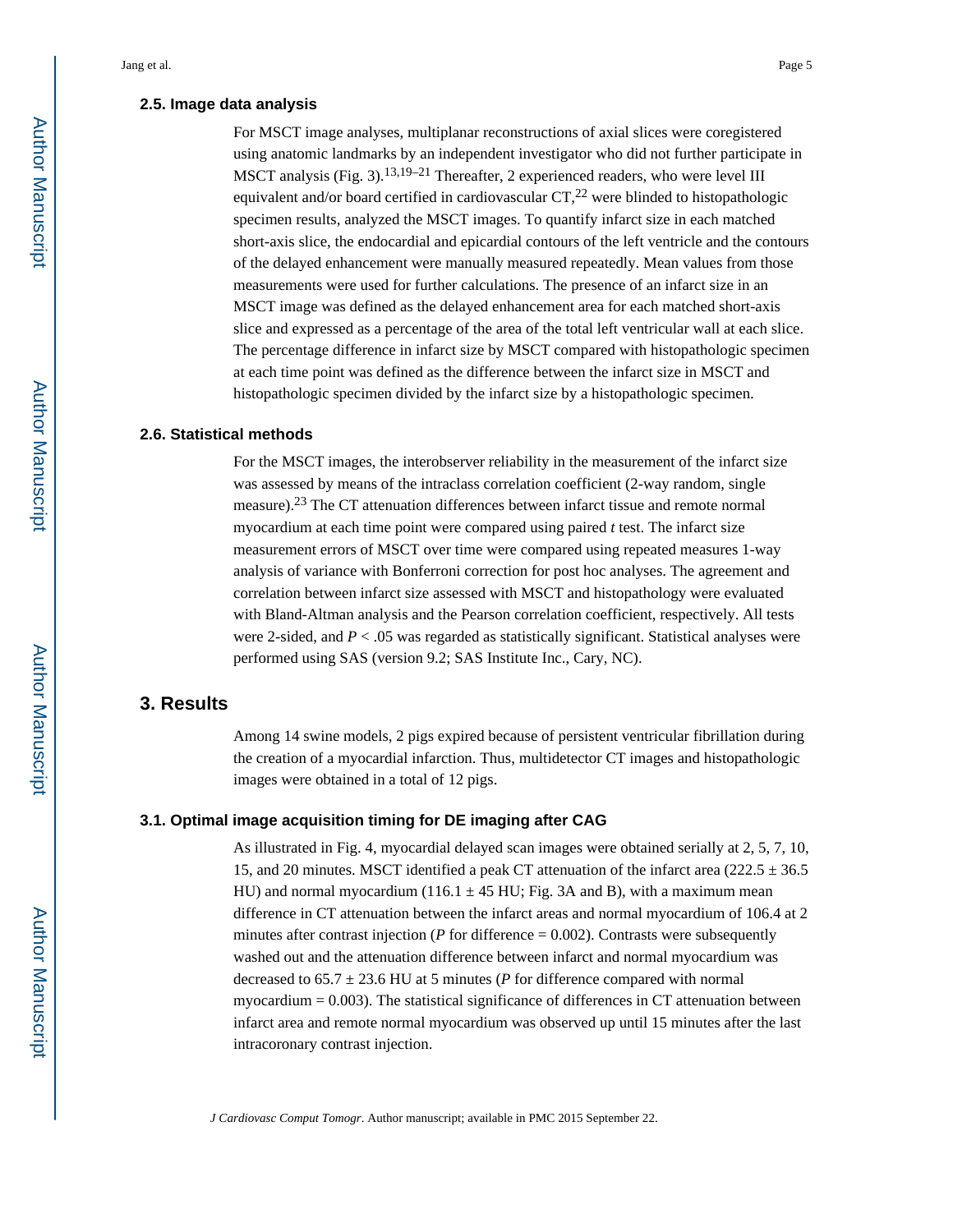#### **2.5. Image data analysis**

For MSCT image analyses, multiplanar reconstructions of axial slices were coregistered using anatomic landmarks by an independent investigator who did not further participate in MSCT analysis (Fig. 3).<sup>13,19–21</sup> Thereafter, 2 experienced readers, who were level III equivalent and/or board certified in cardiovascular  $CT<sub>1</sub><sup>22</sup>$  were blinded to histopathologic specimen results, analyzed the MSCT images. To quantify infarct size in each matched short-axis slice, the endocardial and epicardial contours of the left ventricle and the contours of the delayed enhancement were manually measured repeatedly. Mean values from those measurements were used for further calculations. The presence of an infarct size in an MSCT image was defined as the delayed enhancement area for each matched short-axis slice and expressed as a percentage of the area of the total left ventricular wall at each slice. The percentage difference in infarct size by MSCT compared with histopathologic specimen at each time point was defined as the difference between the infarct size in MSCT and histopathologic specimen divided by the infarct size by a histopathologic specimen.

#### **2.6. Statistical methods**

For the MSCT images, the interobserver reliability in the measurement of the infarct size was assessed by means of the intraclass correlation coefficient (2-way random, single measure).23 The CT attenuation differences between infarct tissue and remote normal myocardium at each time point were compared using paired *t* test. The infarct size measurement errors of MSCT over time were compared using repeated measures 1-way analysis of variance with Bonferroni correction for post hoc analyses. The agreement and correlation between infarct size assessed with MSCT and histopathology were evaluated with Bland-Altman analysis and the Pearson correlation coefficient, respectively. All tests were 2-sided, and  $P < 0.05$  was regarded as statistically significant. Statistical analyses were performed using SAS (version 9.2; SAS Institute Inc., Cary, NC).

# **3. Results**

Among 14 swine models, 2 pigs expired because of persistent ventricular fibrillation during the creation of a myocardial infarction. Thus, multidetector CT images and histopathologic images were obtained in a total of 12 pigs.

#### **3.1. Optimal image acquisition timing for DE imaging after CAG**

As illustrated in Fig. 4, myocardial delayed scan images were obtained serially at 2, 5, 7, 10, 15, and 20 minutes. MSCT identified a peak CT attenuation of the infarct area (222.5  $\pm$  36.5 HU) and normal myocardium (116.1  $\pm$  45 HU; Fig. 3A and B), with a maximum mean difference in CT attenuation between the infarct areas and normal myocardium of 106.4 at 2 minutes after contrast injection ( $P$  for difference  $= 0.002$ ). Contrasts were subsequently washed out and the attenuation difference between infarct and normal myocardium was decreased to  $65.7 \pm 23.6$  HU at 5 minutes (*P* for difference compared with normal myocardium  $= 0.003$ ). The statistical significance of differences in CT attenuation between infarct area and remote normal myocardium was observed up until 15 minutes after the last intracoronary contrast injection.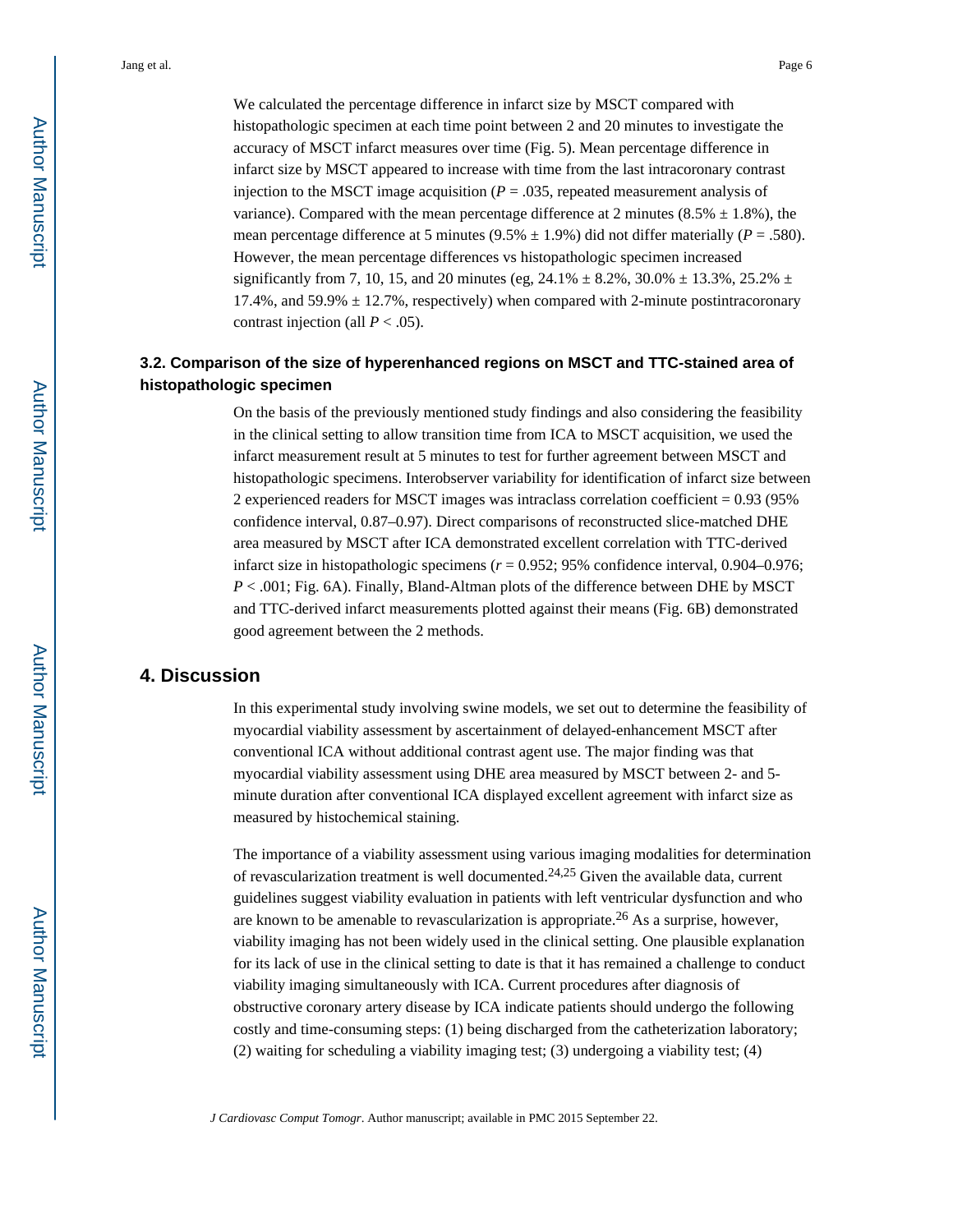We calculated the percentage difference in infarct size by MSCT compared with histopathologic specimen at each time point between 2 and 20 minutes to investigate the accuracy of MSCT infarct measures over time (Fig. 5). Mean percentage difference in infarct size by MSCT appeared to increase with time from the last intracoronary contrast injection to the MSCT image acquisition  $(P = .035)$ , repeated measurement analysis of variance). Compared with the mean percentage difference at 2 minutes (8.5%  $\pm$  1.8%), the mean percentage difference at 5 minutes ( $9.5\% \pm 1.9\%$ ) did not differ materially ( $P = .580$ ). However, the mean percentage differences vs histopathologic specimen increased significantly from 7, 10, 15, and 20 minutes (eg,  $24.1\% \pm 8.2\%$ ,  $30.0\% \pm 13.3\%$ ,  $25.2\% \pm 13.3\%$ 17.4%, and 59.9%  $\pm$  12.7%, respectively) when compared with 2-minute postintracoronary contrast injection (all  $P < .05$ ).

# **3.2. Comparison of the size of hyperenhanced regions on MSCT and TTC-stained area of histopathologic specimen**

On the basis of the previously mentioned study findings and also considering the feasibility in the clinical setting to allow transition time from ICA to MSCT acquisition, we used the infarct measurement result at 5 minutes to test for further agreement between MSCT and histopathologic specimens. Interobserver variability for identification of infarct size between 2 experienced readers for MSCT images was intraclass correlation coefficient = 0.93 (95% confidence interval, 0.87–0.97). Direct comparisons of reconstructed slice-matched DHE area measured by MSCT after ICA demonstrated excellent correlation with TTC-derived infarct size in histopathologic specimens (*r* = 0.952; 95% confidence interval, 0.904–0.976; *P* < .001; Fig. 6A). Finally, Bland-Altman plots of the difference between DHE by MSCT and TTC-derived infarct measurements plotted against their means (Fig. 6B) demonstrated good agreement between the 2 methods.

# **4. Discussion**

In this experimental study involving swine models, we set out to determine the feasibility of myocardial viability assessment by ascertainment of delayed-enhancement MSCT after conventional ICA without additional contrast agent use. The major finding was that myocardial viability assessment using DHE area measured by MSCT between 2- and 5 minute duration after conventional ICA displayed excellent agreement with infarct size as measured by histochemical staining.

The importance of a viability assessment using various imaging modalities for determination of revascularization treatment is well documented.<sup>24,25</sup> Given the available data, current guidelines suggest viability evaluation in patients with left ventricular dysfunction and who are known to be amenable to revascularization is appropriate.26 As a surprise, however, viability imaging has not been widely used in the clinical setting. One plausible explanation for its lack of use in the clinical setting to date is that it has remained a challenge to conduct viability imaging simultaneously with ICA. Current procedures after diagnosis of obstructive coronary artery disease by ICA indicate patients should undergo the following costly and time-consuming steps: (1) being discharged from the catheterization laboratory; (2) waiting for scheduling a viability imaging test; (3) undergoing a viability test; (4)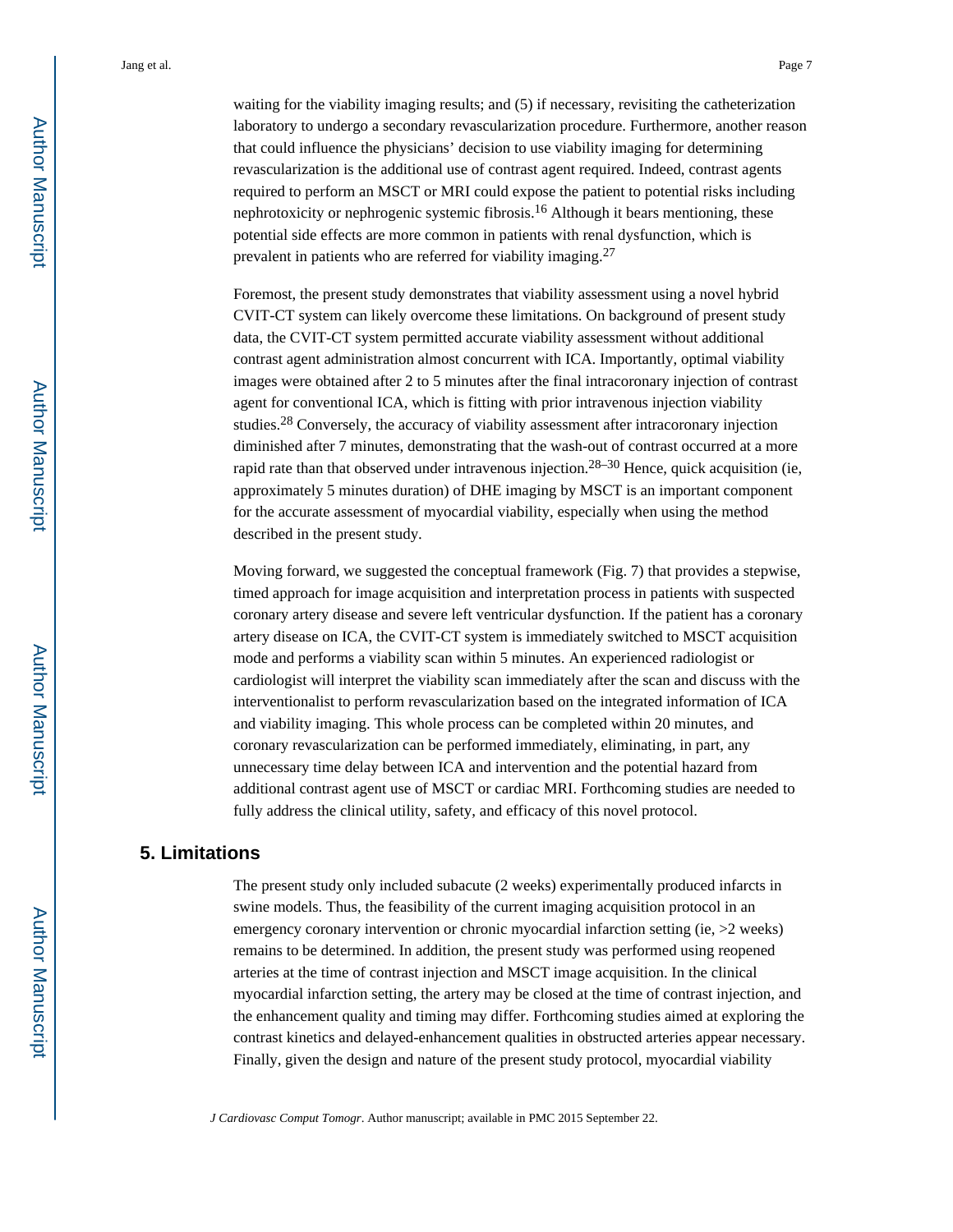waiting for the viability imaging results; and (5) if necessary, revisiting the catheterization laboratory to undergo a secondary revascularization procedure. Furthermore, another reason that could influence the physicians' decision to use viability imaging for determining revascularization is the additional use of contrast agent required. Indeed, contrast agents required to perform an MSCT or MRI could expose the patient to potential risks including nephrotoxicity or nephrogenic systemic fibrosis.<sup>16</sup> Although it bears mentioning, these potential side effects are more common in patients with renal dysfunction, which is prevalent in patients who are referred for viability imaging.<sup>27</sup>

Foremost, the present study demonstrates that viability assessment using a novel hybrid CVIT-CT system can likely overcome these limitations. On background of present study data, the CVIT-CT system permitted accurate viability assessment without additional contrast agent administration almost concurrent with ICA. Importantly, optimal viability images were obtained after 2 to 5 minutes after the final intracoronary injection of contrast agent for conventional ICA, which is fitting with prior intravenous injection viability studies.28 Conversely, the accuracy of viability assessment after intracoronary injection diminished after 7 minutes, demonstrating that the wash-out of contrast occurred at a more rapid rate than that observed under intravenous injection.<sup>28–30</sup> Hence, quick acquisition (ie, approximately 5 minutes duration) of DHE imaging by MSCT is an important component for the accurate assessment of myocardial viability, especially when using the method described in the present study.

Moving forward, we suggested the conceptual framework (Fig. 7) that provides a stepwise, timed approach for image acquisition and interpretation process in patients with suspected coronary artery disease and severe left ventricular dysfunction. If the patient has a coronary artery disease on ICA, the CVIT-CT system is immediately switched to MSCT acquisition mode and performs a viability scan within 5 minutes. An experienced radiologist or cardiologist will interpret the viability scan immediately after the scan and discuss with the interventionalist to perform revascularization based on the integrated information of ICA and viability imaging. This whole process can be completed within 20 minutes, and coronary revascularization can be performed immediately, eliminating, in part, any unnecessary time delay between ICA and intervention and the potential hazard from additional contrast agent use of MSCT or cardiac MRI. Forthcoming studies are needed to fully address the clinical utility, safety, and efficacy of this novel protocol.

#### **5. Limitations**

The present study only included subacute (2 weeks) experimentally produced infarcts in swine models. Thus, the feasibility of the current imaging acquisition protocol in an emergency coronary intervention or chronic myocardial infarction setting (ie,  $>2$  weeks) remains to be determined. In addition, the present study was performed using reopened arteries at the time of contrast injection and MSCT image acquisition. In the clinical myocardial infarction setting, the artery may be closed at the time of contrast injection, and the enhancement quality and timing may differ. Forthcoming studies aimed at exploring the contrast kinetics and delayed-enhancement qualities in obstructed arteries appear necessary. Finally, given the design and nature of the present study protocol, myocardial viability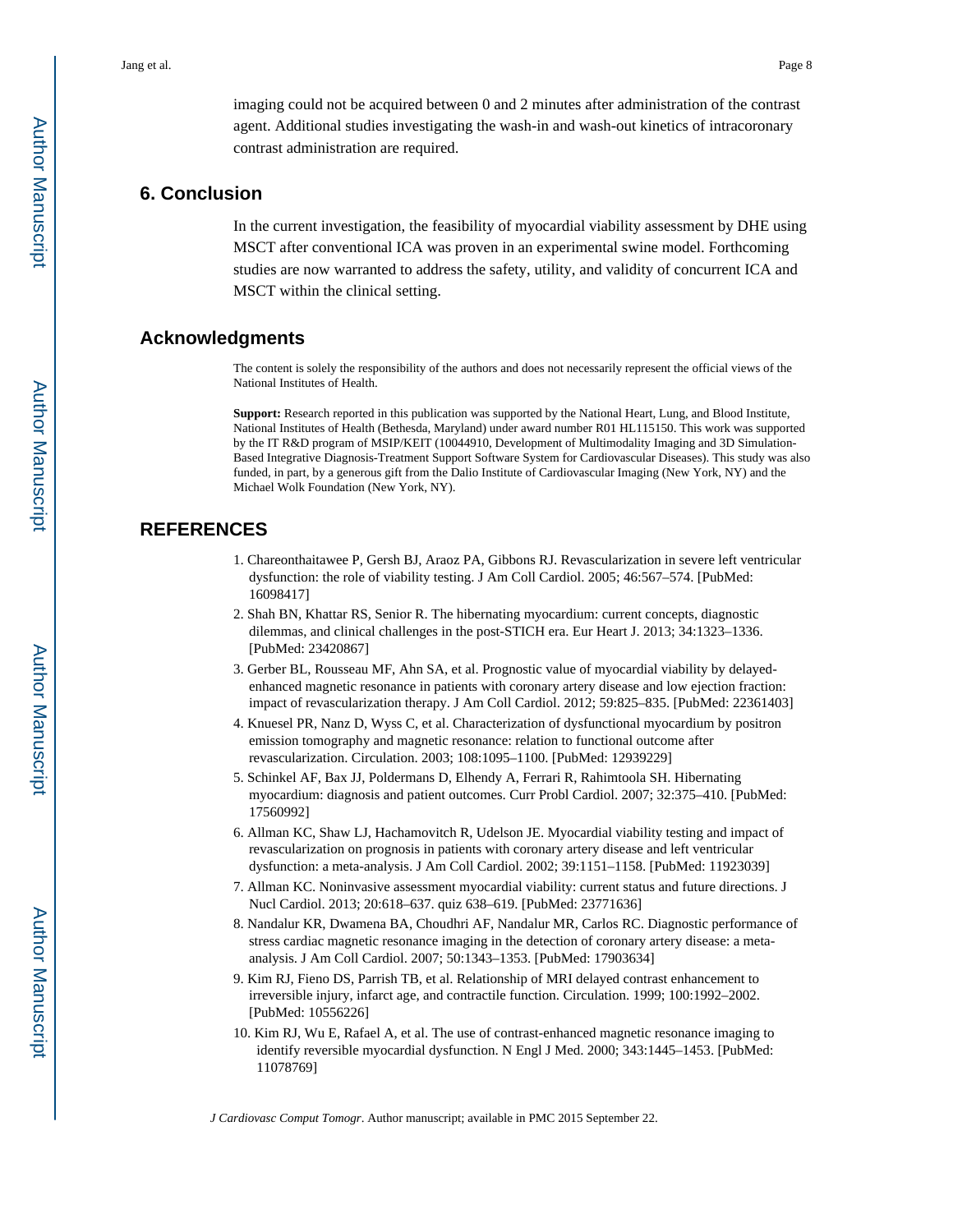imaging could not be acquired between 0 and 2 minutes after administration of the contrast agent. Additional studies investigating the wash-in and wash-out kinetics of intracoronary contrast administration are required.

# **6. Conclusion**

In the current investigation, the feasibility of myocardial viability assessment by DHE using MSCT after conventional ICA was proven in an experimental swine model. Forthcoming studies are now warranted to address the safety, utility, and validity of concurrent ICA and MSCT within the clinical setting.

## **Acknowledgments**

The content is solely the responsibility of the authors and does not necessarily represent the official views of the National Institutes of Health.

**Support:** Research reported in this publication was supported by the National Heart, Lung, and Blood Institute, National Institutes of Health (Bethesda, Maryland) under award number R01 HL115150. This work was supported by the IT R&D program of MSIP/KEIT (10044910, Development of Multimodality Imaging and 3D Simulation-Based Integrative Diagnosis-Treatment Support Software System for Cardiovascular Diseases). This study was also funded, in part, by a generous gift from the Dalio Institute of Cardiovascular Imaging (New York, NY) and the Michael Wolk Foundation (New York, NY).

# **REFERENCES**

- 1. Chareonthaitawee P, Gersh BJ, Araoz PA, Gibbons RJ. Revascularization in severe left ventricular dysfunction: the role of viability testing. J Am Coll Cardiol. 2005; 46:567–574. [PubMed: 16098417]
- 2. Shah BN, Khattar RS, Senior R. The hibernating myocardium: current concepts, diagnostic dilemmas, and clinical challenges in the post-STICH era. Eur Heart J. 2013; 34:1323–1336. [PubMed: 23420867]
- 3. Gerber BL, Rousseau MF, Ahn SA, et al. Prognostic value of myocardial viability by delayedenhanced magnetic resonance in patients with coronary artery disease and low ejection fraction: impact of revascularization therapy. J Am Coll Cardiol. 2012; 59:825–835. [PubMed: 22361403]
- 4. Knuesel PR, Nanz D, Wyss C, et al. Characterization of dysfunctional myocardium by positron emission tomography and magnetic resonance: relation to functional outcome after revascularization. Circulation. 2003; 108:1095–1100. [PubMed: 12939229]
- 5. Schinkel AF, Bax JJ, Poldermans D, Elhendy A, Ferrari R, Rahimtoola SH. Hibernating myocardium: diagnosis and patient outcomes. Curr Probl Cardiol. 2007; 32:375–410. [PubMed: 17560992]
- 6. Allman KC, Shaw LJ, Hachamovitch R, Udelson JE. Myocardial viability testing and impact of revascularization on prognosis in patients with coronary artery disease and left ventricular dysfunction: a meta-analysis. J Am Coll Cardiol. 2002; 39:1151–1158. [PubMed: 11923039]
- 7. Allman KC. Noninvasive assessment myocardial viability: current status and future directions. J Nucl Cardiol. 2013; 20:618–637. quiz 638–619. [PubMed: 23771636]
- 8. Nandalur KR, Dwamena BA, Choudhri AF, Nandalur MR, Carlos RC. Diagnostic performance of stress cardiac magnetic resonance imaging in the detection of coronary artery disease: a metaanalysis. J Am Coll Cardiol. 2007; 50:1343–1353. [PubMed: 17903634]
- 9. Kim RJ, Fieno DS, Parrish TB, et al. Relationship of MRI delayed contrast enhancement to irreversible injury, infarct age, and contractile function. Circulation. 1999; 100:1992–2002. [PubMed: 10556226]
- 10. Kim RJ, Wu E, Rafael A, et al. The use of contrast-enhanced magnetic resonance imaging to identify reversible myocardial dysfunction. N Engl J Med. 2000; 343:1445–1453. [PubMed: 11078769]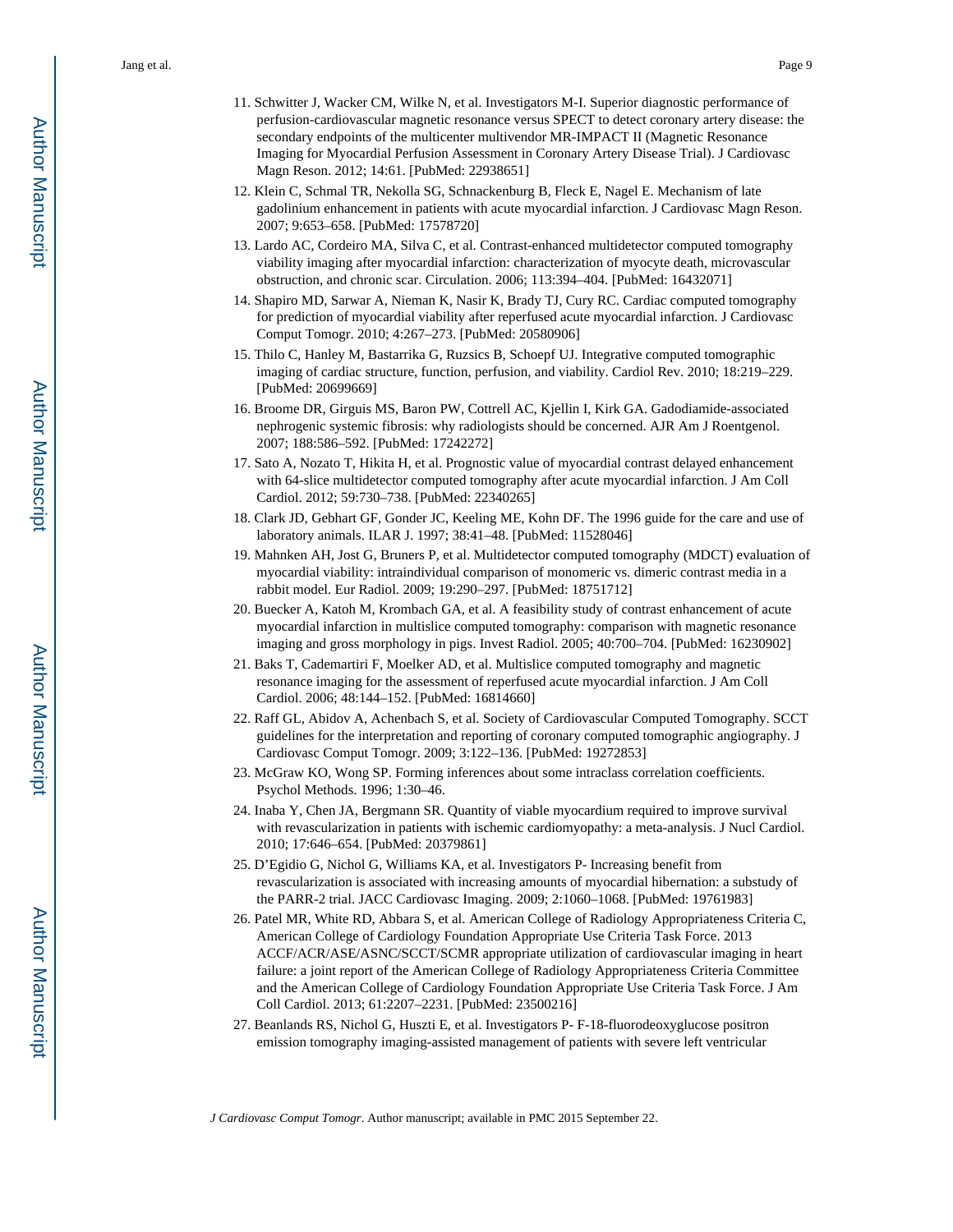- 11. Schwitter J, Wacker CM, Wilke N, et al. Investigators M-I. Superior diagnostic performance of perfusion-cardiovascular magnetic resonance versus SPECT to detect coronary artery disease: the secondary endpoints of the multicenter multivendor MR-IMPACT II (Magnetic Resonance Imaging for Myocardial Perfusion Assessment in Coronary Artery Disease Trial). J Cardiovasc Magn Reson. 2012; 14:61. [PubMed: 22938651]
- 12. Klein C, Schmal TR, Nekolla SG, Schnackenburg B, Fleck E, Nagel E. Mechanism of late gadolinium enhancement in patients with acute myocardial infarction. J Cardiovasc Magn Reson. 2007; 9:653–658. [PubMed: 17578720]
- 13. Lardo AC, Cordeiro MA, Silva C, et al. Contrast-enhanced multidetector computed tomography viability imaging after myocardial infarction: characterization of myocyte death, microvascular obstruction, and chronic scar. Circulation. 2006; 113:394–404. [PubMed: 16432071]
- 14. Shapiro MD, Sarwar A, Nieman K, Nasir K, Brady TJ, Cury RC. Cardiac computed tomography for prediction of myocardial viability after reperfused acute myocardial infarction. J Cardiovasc Comput Tomogr. 2010; 4:267–273. [PubMed: 20580906]
- 15. Thilo C, Hanley M, Bastarrika G, Ruzsics B, Schoepf UJ. Integrative computed tomographic imaging of cardiac structure, function, perfusion, and viability. Cardiol Rev. 2010; 18:219–229. [PubMed: 20699669]
- 16. Broome DR, Girguis MS, Baron PW, Cottrell AC, Kjellin I, Kirk GA. Gadodiamide-associated nephrogenic systemic fibrosis: why radiologists should be concerned. AJR Am J Roentgenol. 2007; 188:586–592. [PubMed: 17242272]
- 17. Sato A, Nozato T, Hikita H, et al. Prognostic value of myocardial contrast delayed enhancement with 64-slice multidetector computed tomography after acute myocardial infarction. J Am Coll Cardiol. 2012; 59:730–738. [PubMed: 22340265]
- 18. Clark JD, Gebhart GF, Gonder JC, Keeling ME, Kohn DF. The 1996 guide for the care and use of laboratory animals. ILAR J. 1997; 38:41–48. [PubMed: 11528046]
- 19. Mahnken AH, Jost G, Bruners P, et al. Multidetector computed tomography (MDCT) evaluation of myocardial viability: intraindividual comparison of monomeric vs. dimeric contrast media in a rabbit model. Eur Radiol. 2009; 19:290–297. [PubMed: 18751712]
- 20. Buecker A, Katoh M, Krombach GA, et al. A feasibility study of contrast enhancement of acute myocardial infarction in multislice computed tomography: comparison with magnetic resonance imaging and gross morphology in pigs. Invest Radiol. 2005; 40:700–704. [PubMed: 16230902]
- 21. Baks T, Cademartiri F, Moelker AD, et al. Multislice computed tomography and magnetic resonance imaging for the assessment of reperfused acute myocardial infarction. J Am Coll Cardiol. 2006; 48:144–152. [PubMed: 16814660]
- 22. Raff GL, Abidov A, Achenbach S, et al. Society of Cardiovascular Computed Tomography. SCCT guidelines for the interpretation and reporting of coronary computed tomographic angiography. J Cardiovasc Comput Tomogr. 2009; 3:122–136. [PubMed: 19272853]
- 23. McGraw KO, Wong SP. Forming inferences about some intraclass correlation coefficients. Psychol Methods. 1996; 1:30–46.
- 24. Inaba Y, Chen JA, Bergmann SR. Quantity of viable myocardium required to improve survival with revascularization in patients with ischemic cardiomyopathy: a meta-analysis. J Nucl Cardiol. 2010; 17:646–654. [PubMed: 20379861]
- 25. D'Egidio G, Nichol G, Williams KA, et al. Investigators P- Increasing benefit from revascularization is associated with increasing amounts of myocardial hibernation: a substudy of the PARR-2 trial. JACC Cardiovasc Imaging. 2009; 2:1060–1068. [PubMed: 19761983]
- 26. Patel MR, White RD, Abbara S, et al. American College of Radiology Appropriateness Criteria C, American College of Cardiology Foundation Appropriate Use Criteria Task Force. 2013 ACCF/ACR/ASE/ASNC/SCCT/SCMR appropriate utilization of cardiovascular imaging in heart failure: a joint report of the American College of Radiology Appropriateness Criteria Committee and the American College of Cardiology Foundation Appropriate Use Criteria Task Force. J Am Coll Cardiol. 2013; 61:2207–2231. [PubMed: 23500216]
- 27. Beanlands RS, Nichol G, Huszti E, et al. Investigators P- F-18-fluorodeoxyglucose positron emission tomography imaging-assisted management of patients with severe left ventricular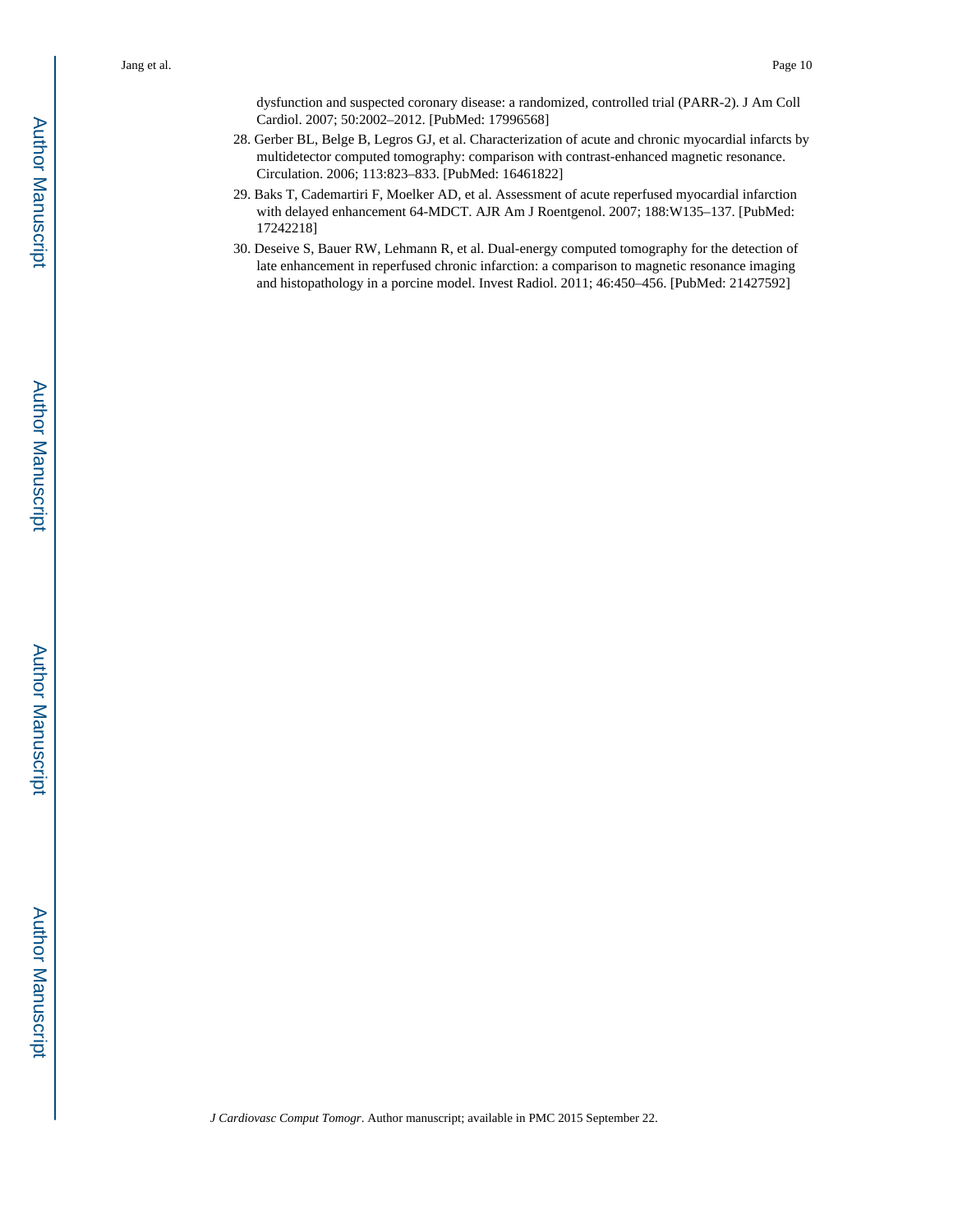dysfunction and suspected coronary disease: a randomized, controlled trial (PARR-2). J Am Coll Cardiol. 2007; 50:2002–2012. [PubMed: 17996568]

- 28. Gerber BL, Belge B, Legros GJ, et al. Characterization of acute and chronic myocardial infarcts by multidetector computed tomography: comparison with contrast-enhanced magnetic resonance. Circulation. 2006; 113:823–833. [PubMed: 16461822]
- 29. Baks T, Cademartiri F, Moelker AD, et al. Assessment of acute reperfused myocardial infarction with delayed enhancement 64-MDCT. AJR Am J Roentgenol. 2007; 188:W135–137. [PubMed: 17242218]
- 30. Deseive S, Bauer RW, Lehmann R, et al. Dual-energy computed tomography for the detection of late enhancement in reperfused chronic infarction: a comparison to magnetic resonance imaging and histopathology in a porcine model. Invest Radiol. 2011; 46:450–456. [PubMed: 21427592]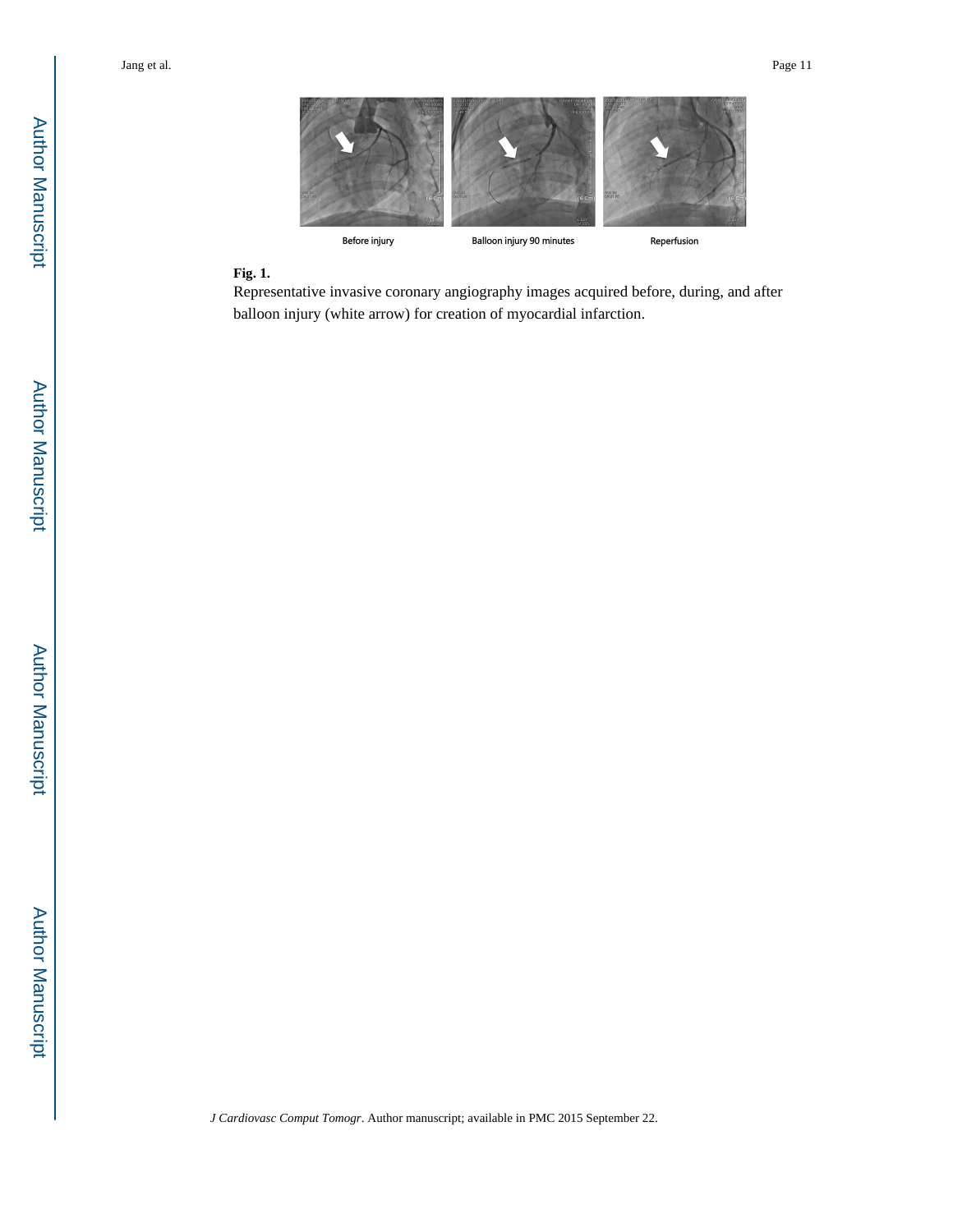

# **Fig. 1.**

Representative invasive coronary angiography images acquired before, during, and after balloon injury (white arrow) for creation of myocardial infarction.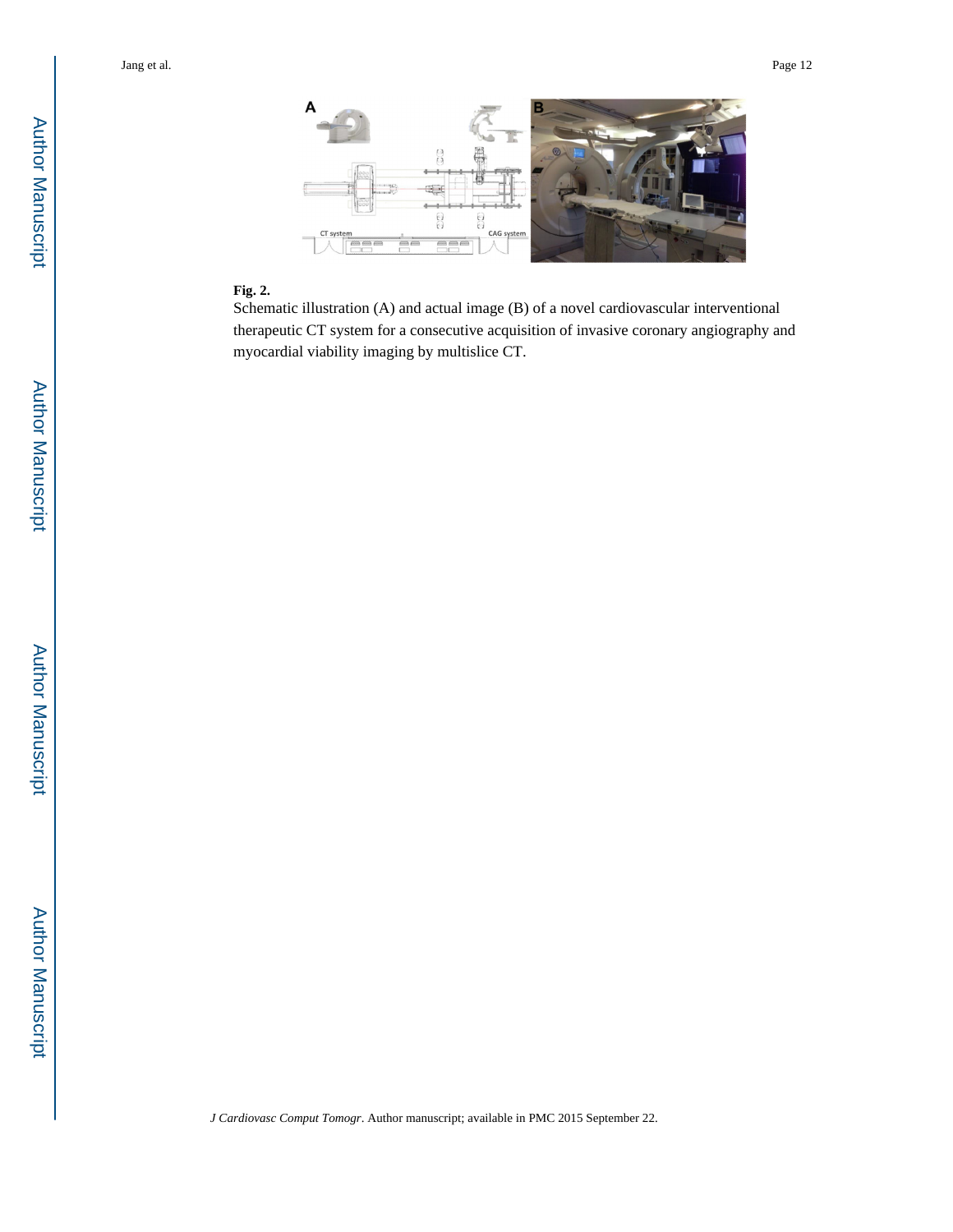

# Author ManuscriptAuthor Manuscript



#### **Fig. 2.**

Schematic illustration (A) and actual image (B) of a novel cardiovascular interventional therapeutic CT system for a consecutive acquisition of invasive coronary angiography and myocardial viability imaging by multislice CT.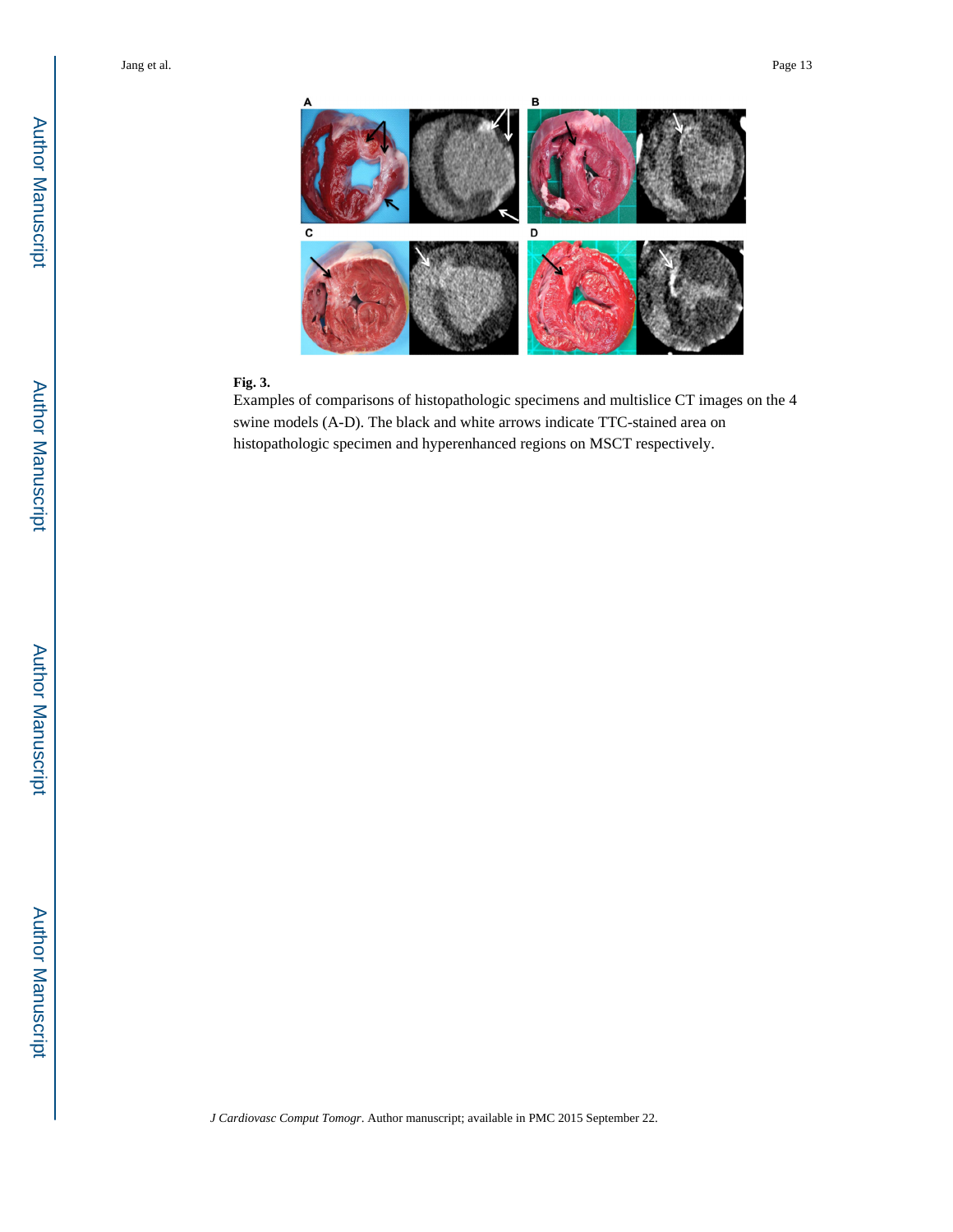

#### **Fig. 3.**

Examples of comparisons of histopathologic specimens and multislice CT images on the 4 swine models (A-D). The black and white arrows indicate TTC-stained area on histopathologic specimen and hyperenhanced regions on MSCT respectively.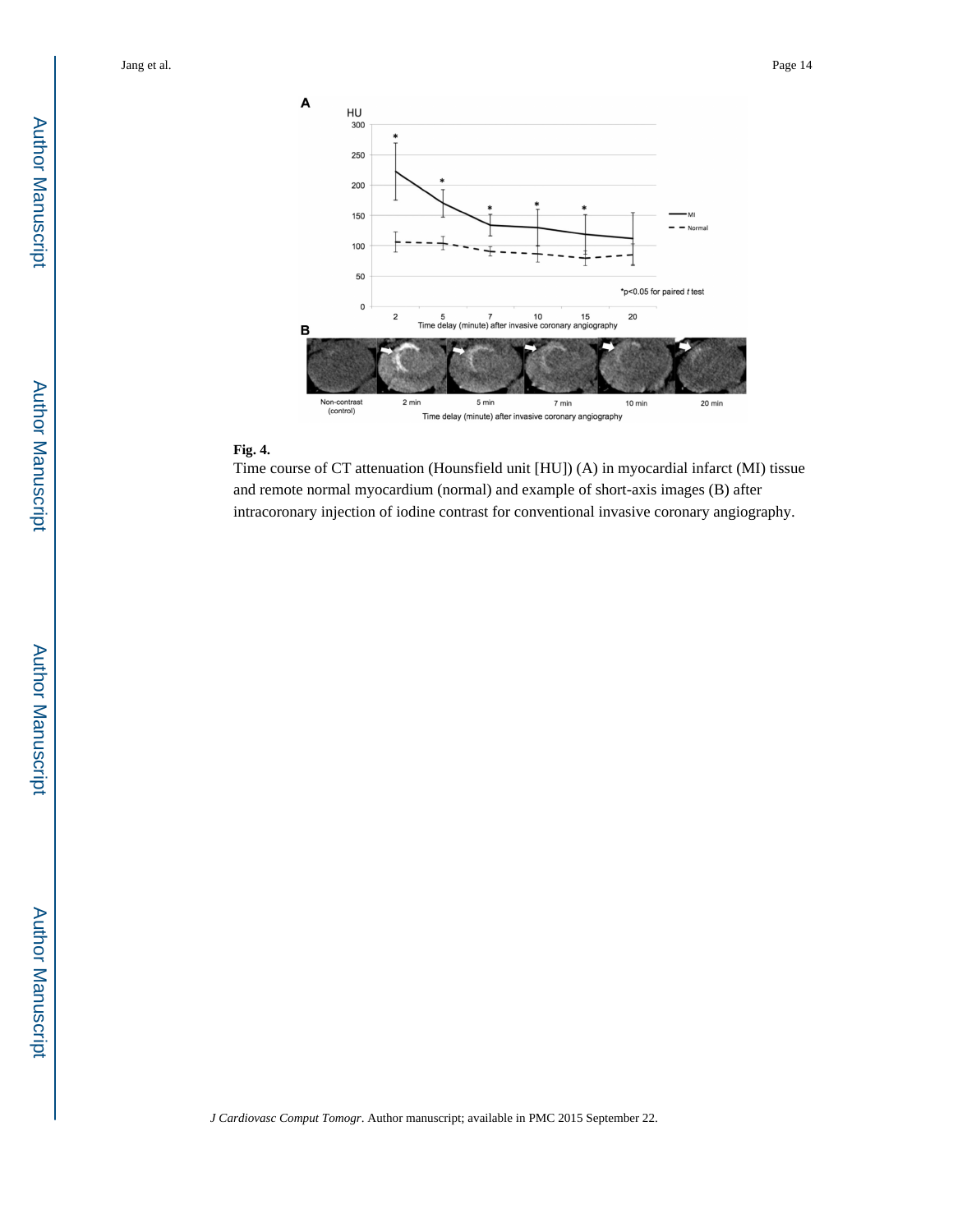

#### **Fig. 4.**

Time course of CT attenuation (Hounsfield unit [HU]) (A) in myocardial infarct (MI) tissue and remote normal myocardium (normal) and example of short-axis images (B) after intracoronary injection of iodine contrast for conventional invasive coronary angiography.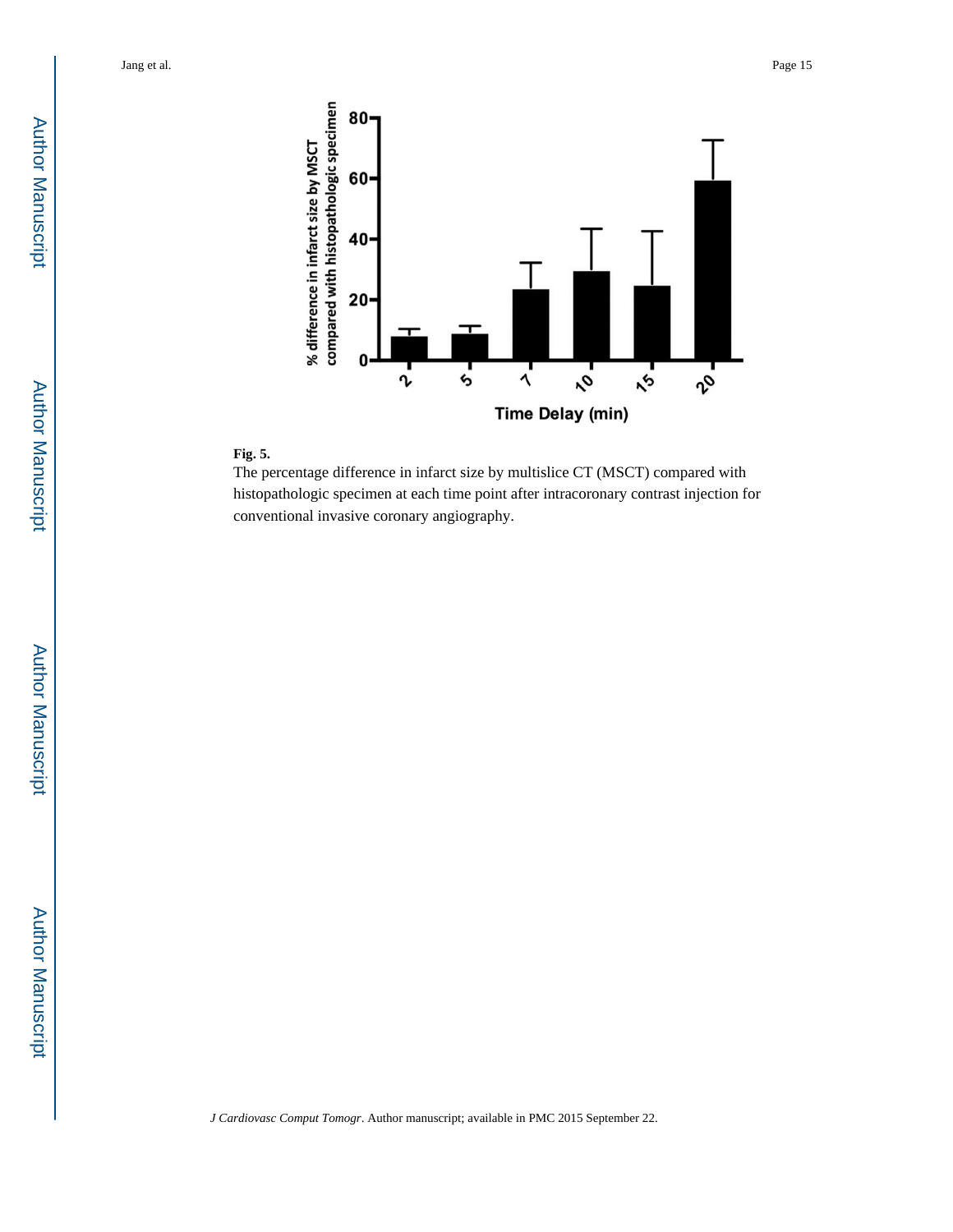

# **Fig. 5.**

The percentage difference in infarct size by multislice CT (MSCT) compared with histopathologic specimen at each time point after intracoronary contrast injection for conventional invasive coronary angiography.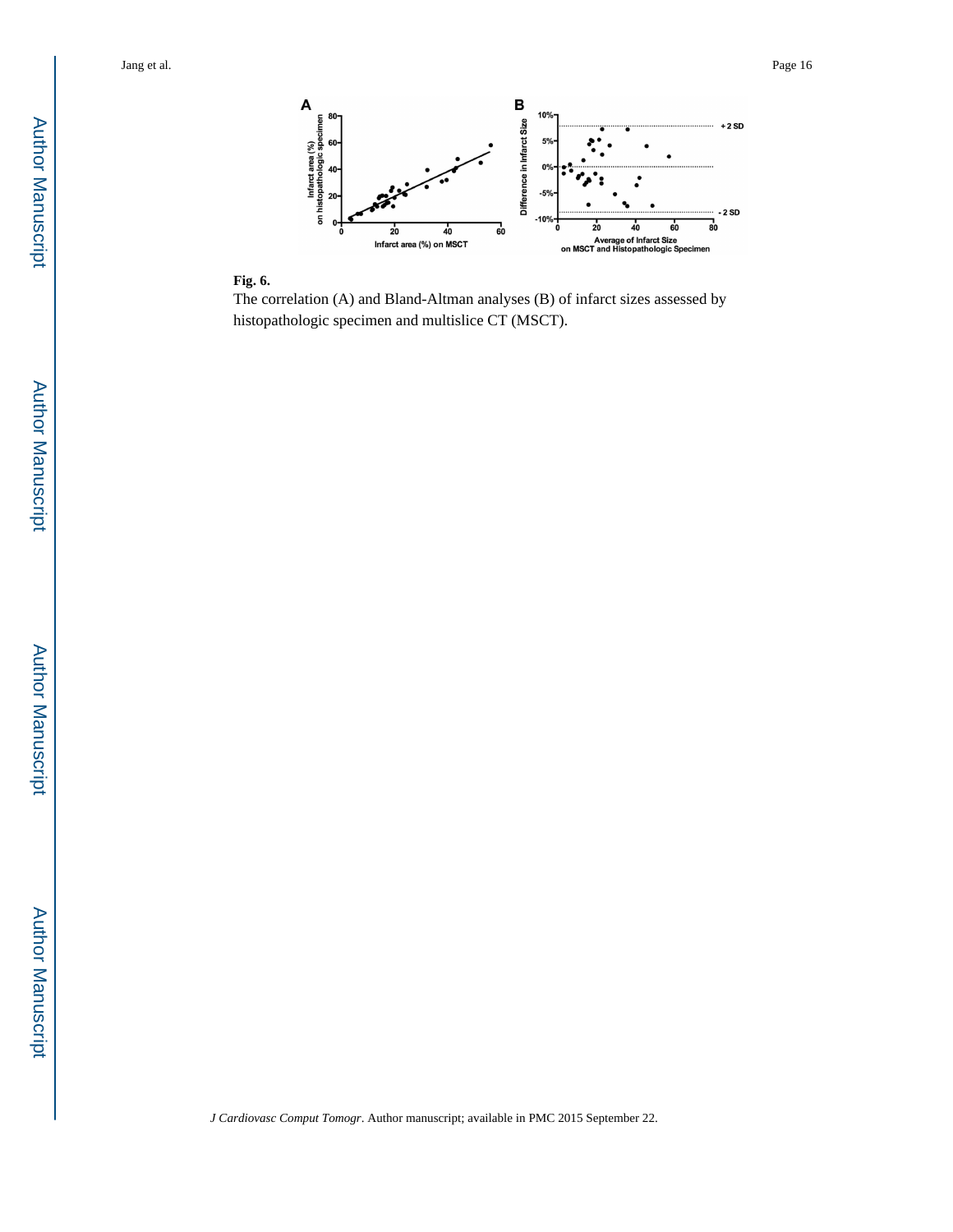